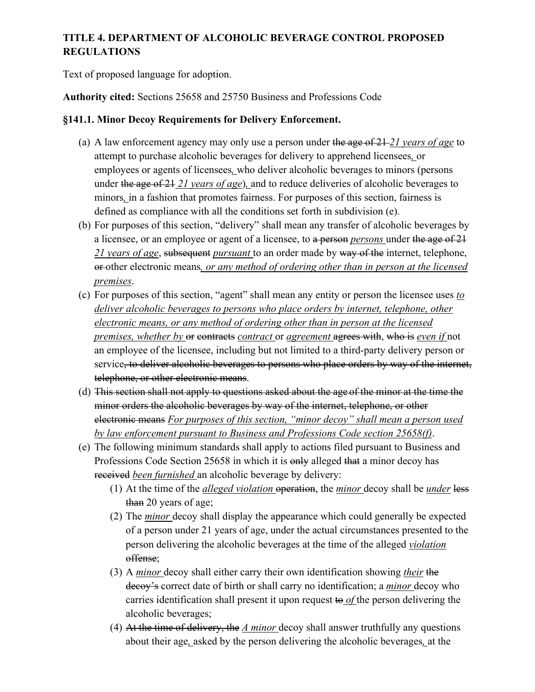## **TITLE 4. DEPARTMENT OF ALCOHOLIC BEVERAGE CONTROL PROPOSED REGULATIONS**

Text of proposed language for adoption.

**Authority cited:** Sections 25658 and 25750 Business and Professions Code

## **§141.1. Minor Decoy Requirements for Delivery Enforcement.**

- (a) A law enforcement agency may only use a person under the age of 21 *21 years of age* to attempt to purchase alcoholic beverages for delivery to apprehend licensees*,* or employees or agents of licensees*,* who deliver alcoholic beverages to minors (persons under the age of 21 *21 years of age*)*,* and to reduce deliveries of alcoholic beverages to minors*,* in a fashion that promotes fairness. For purposes of this section, fairness is defined as compliance with all the conditions set forth in subdivision (e).
- (b) For purposes of this section, "delivery" shall mean any transfer of alcoholic beverages by a licensee, or an employee or agent of a licensee, to a person *persons* under the age of 21 *21 years of age*, subsequent *pursuant* to an order made by way of the internet, telephone, or other electronic means*, or any method of ordering other than in person at the licensed premises*.
- (c) For purposes of this section, "agent" shall mean any entity or person the licensee uses *to deliver alcoholic beverages to persons who place orders by internet, telephone, other electronic means, or any method of ordering other than in person at the licensed premises, whether by* or contracts *contract* or *agreement* agrees with, who is *even if* not an employee of the licensee, including but not limited to a third-party delivery person or service, to deliver alcoholic beverages to persons who place orders by way of the internet, telephone, or other electronic means.
- (d) This section shall not apply to questions asked about the age of the minor at the time the minor orders the alcoholic beverages by way of the internet, telephone, or other electronic means *For purposes of this section, "minor decoy" shall mean a person used by law enforcement pursuant to Business and Professions Code section 25658(f)*.
- (e) The following minimum standards shall apply to actions filed pursuant to Business and Professions Code Section 25658 in which it is only alleged that a minor decoy has received *been furnished* an alcoholic beverage by delivery:
	- (1) At the time of the *alleged violation* operation, the *minor* decoy shall be *under* less than 20 years of age;
	- (2) The *minor* decoy shall display the appearance which could generally be expected of a person under 21 years of age, under the actual circumstances presented to the person delivering the alcoholic beverages at the time of the alleged *violation*  offense;
	- (3) A *minor* decoy shall either carry their own identification showing *their* the decoy's correct date of birth or shall carry no identification; a *minor* decoy who carries identification shall present it upon request to *of* the person delivering the alcoholic beverages;
	- (4) At the time of delivery, the *A minor* decoy shall answer truthfully any questions about their age*,* asked by the person delivering the alcoholic beverages*,* at the